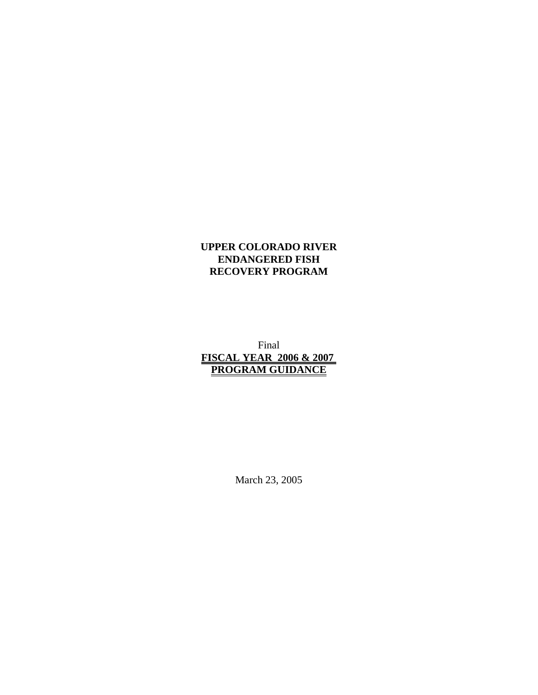## **UPPER COLORADO RIVER ENDANGERED FISH RECOVERY PROGRAM**

Final **FISCAL YEAR 2006 & 2007 PROGRAM GUIDANCE**

March 23, 2005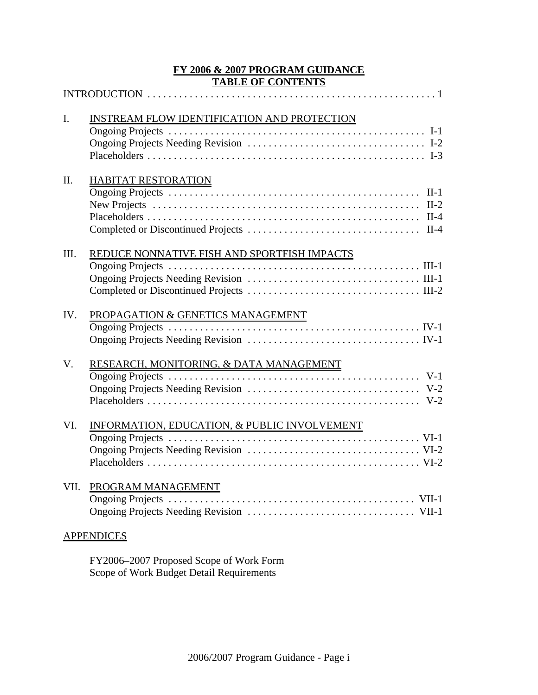## **FY 2006 & 2007 PROGRAM GUIDANCE TABLE OF CONTENTS**

| $\mathbf{I}$ . | INSTREAM FLOW IDENTIFICATION AND PROTECTION                                                                                                              |
|----------------|----------------------------------------------------------------------------------------------------------------------------------------------------------|
| II.            | <b>HABITAT RESTORATION</b><br>New Projects $\dots \dots \dots \dots \dots \dots \dots \dots \dots \dots \dots \dots \dots \dots \dots \dots \dots \dots$ |
| III.           | REDUCE NONNATIVE FISH AND SPORTFISH IMPACTS                                                                                                              |
| IV.            | PROPAGATION & GENETICS MANAGEMENT                                                                                                                        |
| V.             | RESEARCH, MONITORING, & DATA MANAGEMENT                                                                                                                  |
| VI.            | INFORMATION, EDUCATION, & PUBLIC INVOLVEMENT                                                                                                             |
| VII.           | PROGRAM MANAGEMENT                                                                                                                                       |
|                | <b>APPENDICES</b>                                                                                                                                        |

FY2006–2007 Proposed Scope of Work Form Scope of Work Budget Detail Requirements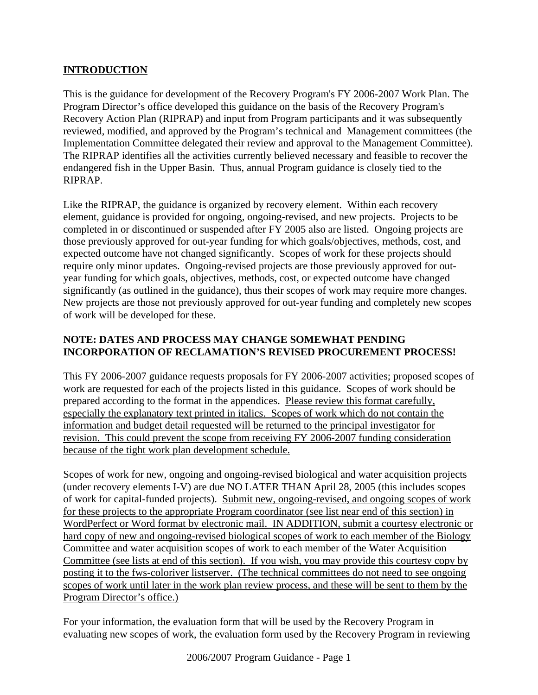## **INTRODUCTION**

This is the guidance for development of the Recovery Program's FY 2006-2007 Work Plan. The Program Director's office developed this guidance on the basis of the Recovery Program's Recovery Action Plan (RIPRAP) and input from Program participants and it was subsequently reviewed, modified, and approved by the Program's technical and Management committees (the Implementation Committee delegated their review and approval to the Management Committee). The RIPRAP identifies all the activities currently believed necessary and feasible to recover the endangered fish in the Upper Basin. Thus, annual Program guidance is closely tied to the RIPRAP.

Like the RIPRAP, the guidance is organized by recovery element. Within each recovery element, guidance is provided for ongoing, ongoing-revised, and new projects. Projects to be completed in or discontinued or suspended after FY 2005 also are listed. Ongoing projects are those previously approved for out-year funding for which goals/objectives, methods, cost, and expected outcome have not changed significantly. Scopes of work for these projects should require only minor updates. Ongoing-revised projects are those previously approved for outyear funding for which goals, objectives, methods, cost, or expected outcome have changed significantly (as outlined in the guidance), thus their scopes of work may require more changes. New projects are those not previously approved for out-year funding and completely new scopes of work will be developed for these.

## **NOTE: DATES AND PROCESS MAY CHANGE SOMEWHAT PENDING INCORPORATION OF RECLAMATION'S REVISED PROCUREMENT PROCESS!**

This FY 2006-2007 guidance requests proposals for FY 2006-2007 activities; proposed scopes of work are requested for each of the projects listed in this guidance. Scopes of work should be prepared according to the format in the appendices. Please review this format carefully, especially the explanatory text printed in italics. Scopes of work which do not contain the information and budget detail requested will be returned to the principal investigator for revision. This could prevent the scope from receiving FY 2006-2007 funding consideration because of the tight work plan development schedule.

Scopes of work for new, ongoing and ongoing-revised biological and water acquisition projects (under recovery elements I-V) are due NO LATER THAN April 28, 2005 (this includes scopes of work for capital-funded projects). Submit new, ongoing-revised, and ongoing scopes of work for these projects to the appropriate Program coordinator (see list near end of this section) in WordPerfect or Word format by electronic mail. IN ADDITION, submit a courtesy electronic or hard copy of new and ongoing-revised biological scopes of work to each member of the Biology Committee and water acquisition scopes of work to each member of the Water Acquisition Committee (see lists at end of this section). If you wish, you may provide this courtesy copy by posting it to the fws-coloriver listserver. (The technical committees do not need to see ongoing scopes of work until later in the work plan review process, and these will be sent to them by the Program Director's office.)

For your information, the evaluation form that will be used by the Recovery Program in evaluating new scopes of work, the evaluation form used by the Recovery Program in reviewing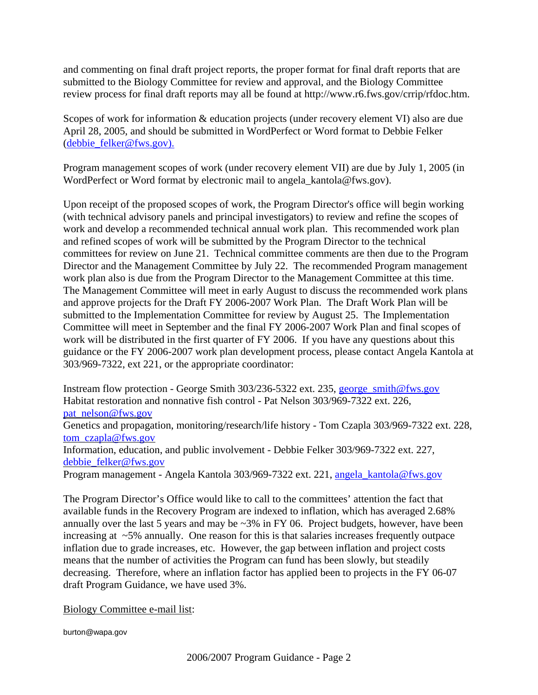and commenting on final draft project reports, the proper format for final draft reports that are submitted to the Biology Committee for review and approval, and the Biology Committee review process for final draft reports may all be found at http://www.r6.fws.gov/crrip/rfdoc.htm.

Scopes of work for information & education projects (under recovery element VI) also are due April 28, 2005, and should be submitted in WordPerfect or Word format to Debbie Felker (debbie\_felker@fws.gov).

Program management scopes of work (under recovery element VII) are due by July 1, 2005 (in WordPerfect or Word format by electronic mail to angela kantola@fws.gov).

Upon receipt of the proposed scopes of work, the Program Director's office will begin working (with technical advisory panels and principal investigators) to review and refine the scopes of work and develop a recommended technical annual work plan. This recommended work plan and refined scopes of work will be submitted by the Program Director to the technical committees for review on June 21. Technical committee comments are then due to the Program Director and the Management Committee by July 22. The recommended Program management work plan also is due from the Program Director to the Management Committee at this time. The Management Committee will meet in early August to discuss the recommended work plans and approve projects for the Draft FY 2006-2007 Work Plan. The Draft Work Plan will be submitted to the Implementation Committee for review by August 25. The Implementation Committee will meet in September and the final FY 2006-2007 Work Plan and final scopes of work will be distributed in the first quarter of FY 2006. If you have any questions about this guidance or the FY 2006-2007 work plan development process, please contact Angela Kantola at 303/969-7322, ext 221, or the appropriate coordinator:

Instream flow protection - George Smith 303/236-5322 ext. 235, george\_smith@fws.gov Habitat restoration and nonnative fish control - Pat Nelson 303/969-7322 ext. 226, pat\_nelson@fws.gov

Genetics and propagation, monitoring/research/life history - Tom Czapla 303/969-7322 ext. 228, tom\_czapla@fws.gov

Information, education, and public involvement - Debbie Felker 303/969-7322 ext. 227, debbie\_felker@fws.gov

Program management - Angela Kantola 303/969-7322 ext. 221, angela kantola@fws.gov

The Program Director's Office would like to call to the committees' attention the fact that available funds in the Recovery Program are indexed to inflation, which has averaged 2.68% annually over the last 5 years and may be ~3% in FY 06. Project budgets, however, have been increasing at  $\sim$ 5% annually. One reason for this is that salaries increases frequently outpace inflation due to grade increases, etc. However, the gap between inflation and project costs means that the number of activities the Program can fund has been slowly, but steadily decreasing. Therefore, where an inflation factor has applied been to projects in the FY 06-07 draft Program Guidance, we have used 3%.

Biology Committee e-mail list:

burton@wapa.gov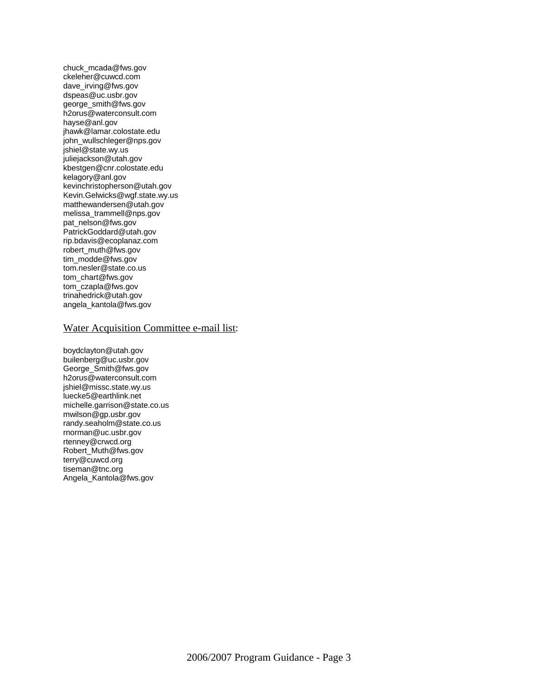chuck\_mcada@fws.gov ckeleher@cuwcd.com dave\_irving@fws.gov dspeas@uc.usbr.gov george\_smith@fws.gov h2orus@waterconsult.com hayse@anl.gov jhawk@lamar.colostate.edu john\_wullschleger@nps.gov jshiel@state.wy.us juliejackson@utah.gov kbestgen@cnr.colostate.edu kelagory@anl.gov kevinchristopherson@utah.gov Kevin.Gelwicks@wgf.state.wy.us matthewandersen@utah.gov melissa\_trammell@nps.gov pat\_nelson@fws.gov PatrickGoddard@utah.gov rip.bdavis@ecoplanaz.com robert\_muth@fws.gov tim\_modde@fws.gov tom.nesler@state.co.us tom\_chart@fws.gov tom\_czapla@fws.gov trinahedrick@utah.gov angela\_kantola@fws.gov

#### Water Acquisition Committee e-mail list:

boydclayton@utah.gov builenberg@uc.usbr.gov George\_Smith@fws.gov h2orus@waterconsult.com jshiel@missc.state.wy.us luecke5@earthlink.net michelle.garrison@state.co.us mwilson@gp.usbr.gov randy.seaholm@state.co.us rnorman@uc.usbr.gov rtenney@crwcd.org Robert\_Muth@fws.gov terry@cuwcd.org tiseman@tnc.org Angela\_Kantola@fws.gov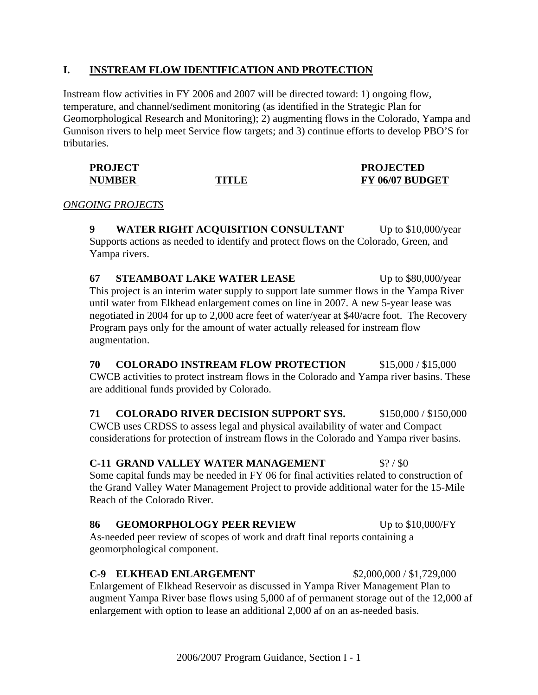## **I. INSTREAM FLOW IDENTIFICATION AND PROTECTION**

Instream flow activities in FY 2006 and 2007 will be directed toward: 1) ongoing flow, temperature, and channel/sediment monitoring (as identified in the Strategic Plan for Geomorphological Research and Monitoring); 2) augmenting flows in the Colorado, Yampa and Gunnison rivers to help meet Service flow targets; and 3) continue efforts to develop PBO'S for tributaries.

| <b>PROJECT</b> |       | <b>PROJECTED</b> |
|----------------|-------|------------------|
| <b>NUMBER</b>  | TITLE | FY 06/07 BUDGET  |

#### *ONGOING PROJECTS*

**9 WATER RIGHT ACQUISITION CONSULTANT** Up to \$10,000/year Supports actions as needed to identify and protect flows on the Colorado, Green, and Yampa rivers.

**67 STEAMBOAT LAKE WATER LEASE** Up to \$80,000/year This project is an interim water supply to support late summer flows in the Yampa River until water from Elkhead enlargement comes on line in 2007. A new 5-year lease was negotiated in 2004 for up to 2,000 acre feet of water/year at \$40/acre foot. The Recovery Program pays only for the amount of water actually released for instream flow augmentation.

**70 COLORADO INSTREAM FLOW PROTECTION** \$15,000 / \$15,000 CWCB activities to protect instream flows in the Colorado and Yampa river basins. These are additional funds provided by Colorado.

**71 COLORADO RIVER DECISION SUPPORT SYS.** \$150,000 / \$150,000 CWCB uses CRDSS to assess legal and physical availability of water and Compact considerations for protection of instream flows in the Colorado and Yampa river basins.

#### **C-11 GRAND VALLEY WATER MANAGEMENT** \$? / \$0

Some capital funds may be needed in FY 06 for final activities related to construction of the Grand Valley Water Management Project to provide additional water for the 15-Mile Reach of the Colorado River.

## **86 GEOMORPHOLOGY PEER REVIEW** Up to \$10,000/FY

As-needed peer review of scopes of work and draft final reports containing a geomorphological component.

## **C-9 ELKHEAD ENLARGEMENT** \$2,000,000 / \$1,729,000

Enlargement of Elkhead Reservoir as discussed in Yampa River Management Plan to augment Yampa River base flows using 5,000 af of permanent storage out of the 12,000 af enlargement with option to lease an additional 2,000 af on an as-needed basis.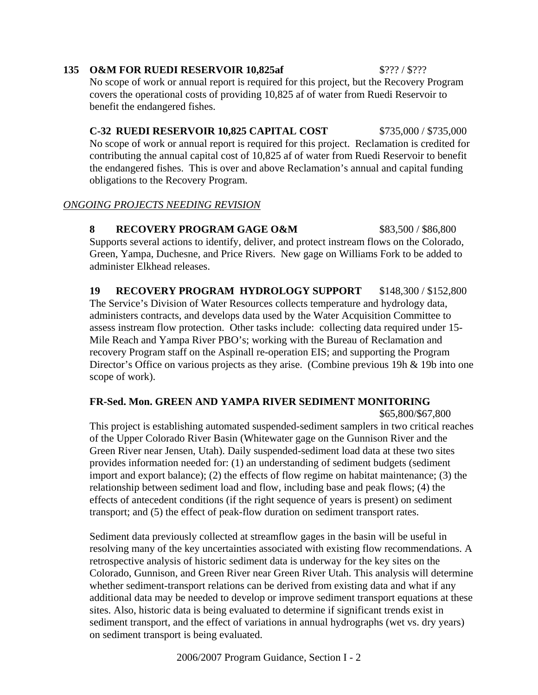**19 RECOVERY PROGRAM HYDROLOGY SUPPORT** \$148,300 / \$152,800 The Service's Division of Water Resources collects temperature and hydrology data, administers contracts, and develops data used by the Water Acquisition Committee to assess instream flow protection. Other tasks include: collecting data required under 15- Mile Reach and Yampa River PBO's; working with the Bureau of Reclamation and recovery Program staff on the Aspinall re-operation EIS; and supporting the Program Director's Office on various projects as they arise. (Combine previous 19h & 19b into one scope of work).

## **FR-Sed. Mon. GREEN AND YAMPA RIVER SEDIMENT MONITORING**

\$65,800/\$67,800

This project is establishing automated suspended-sediment samplers in two critical reaches of the Upper Colorado River Basin (Whitewater gage on the Gunnison River and the Green River near Jensen, Utah). Daily suspended-sediment load data at these two sites provides information needed for: (1) an understanding of sediment budgets (sediment import and export balance); (2) the effects of flow regime on habitat maintenance; (3) the relationship between sediment load and flow, including base and peak flows; (4) the effects of antecedent conditions (if the right sequence of years is present) on sediment transport; and (5) the effect of peak-flow duration on sediment transport rates.

Sediment data previously collected at streamflow gages in the basin will be useful in resolving many of the key uncertainties associated with existing flow recommendations. A retrospective analysis of historic sediment data is underway for the key sites on the Colorado, Gunnison, and Green River near Green River Utah. This analysis will determine whether sediment-transport relations can be derived from existing data and what if any additional data may be needed to develop or improve sediment transport equations at these sites. Also, historic data is being evaluated to determine if significant trends exist in sediment transport, and the effect of variations in annual hydrographs (wet vs. dry years) on sediment transport is being evaluated.

2006/2007 Program Guidance, Section I - 2

#### **135 O&M FOR RUEDI RESERVOIR 10.825af** \$??? / \$???

No scope of work or annual report is required for this project, but the Recovery Program covers the operational costs of providing 10,825 af of water from Ruedi Reservoir to benefit the endangered fishes.

**C-32 RUEDI RESERVOIR 10,825 CAPITAL COST \$735,000 / \$735,000** No scope of work or annual report is required for this project. Reclamation is credited for contributing the annual capital cost of 10,825 af of water from Ruedi Reservoir to benefit the endangered fishes. This is over and above Reclamation's annual and capital funding obligations to the Recovery Program.

## *ONGOING PROJECTS NEEDING REVISION*

**8 RECOVERY PROGRAM GAGE O&M** \$83,500 / \$86,800 Supports several actions to identify, deliver, and protect instream flows on the Colorado, Green, Yampa, Duchesne, and Price Rivers. New gage on Williams Fork to be added to administer Elkhead releases.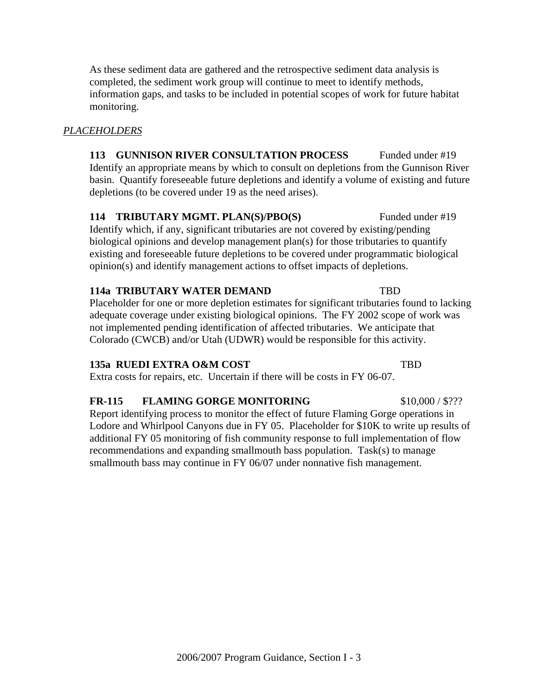2006/2007 Program Guidance, Section I - 3

As these sediment data are gathered and the retrospective sediment data analysis is completed, the sediment work group will continue to meet to identify methods, information gaps, and tasks to be included in potential scopes of work for future habitat monitoring.

## *PLACEHOLDERS*

**113 GUNNISON RIVER CONSULTATION PROCESS** Funded under #19 Identify an appropriate means by which to consult on depletions from the Gunnison River basin. Quantify foreseeable future depletions and identify a volume of existing and future depletions (to be covered under 19 as the need arises).

## **114 TRIBUTARY MGMT. PLAN(S)/PBO(S)** Funded under #19

Identify which, if any, significant tributaries are not covered by existing/pending biological opinions and develop management plan(s) for those tributaries to quantify existing and foreseeable future depletions to be covered under programmatic biological opinion(s) and identify management actions to offset impacts of depletions.

#### **114a TRIBUTARY WATER DEMAND TBD**

Placeholder for one or more depletion estimates for significant tributaries found to lacking adequate coverage under existing biological opinions. The FY 2002 scope of work was not implemented pending identification of affected tributaries. We anticipate that Colorado (CWCB) and/or Utah (UDWR) would be responsible for this activity.

#### **135a RUEDI EXTRA O&M COST** TBD

Extra costs for repairs, etc. Uncertain if there will be costs in FY 06-07.

#### **FR-115 FLAMING GORGE MONITORING** \$10,000 / \$???

Report identifying process to monitor the effect of future Flaming Gorge operations in Lodore and Whirlpool Canyons due in FY 05. Placeholder for \$10K to write up results of additional FY 05 monitoring of fish community response to full implementation of flow recommendations and expanding smallmouth bass population. Task(s) to manage smallmouth bass may continue in FY 06/07 under nonnative fish management.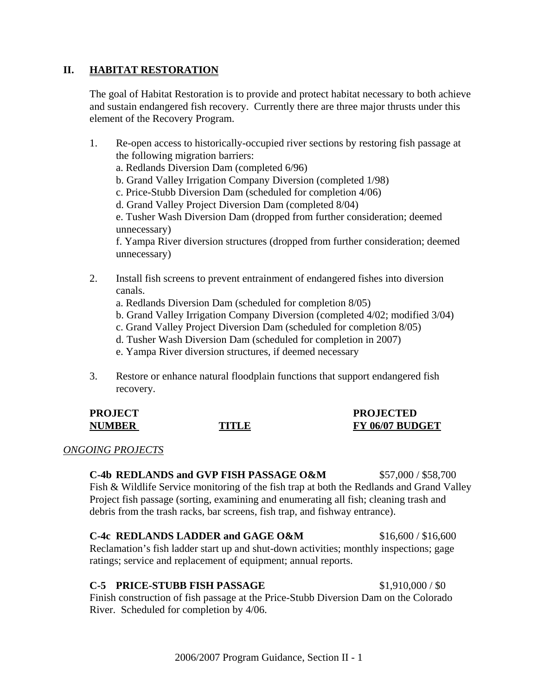## **II. HABITAT RESTORATION**

The goal of Habitat Restoration is to provide and protect habitat necessary to both achieve and sustain endangered fish recovery. Currently there are three major thrusts under this element of the Recovery Program.

- 1. Re-open access to historically-occupied river sections by restoring fish passage at the following migration barriers: a. Redlands Diversion Dam (completed 6/96) b. Grand Valley Irrigation Company Diversion (completed 1/98) c. Price-Stubb Diversion Dam (scheduled for completion 4/06) d. Grand Valley Project Diversion Dam (completed 8/04) e. Tusher Wash Diversion Dam (dropped from further consideration; deemed unnecessary) f. Yampa River diversion structures (dropped from further consideration; deemed unnecessary)
- 2. Install fish screens to prevent entrainment of endangered fishes into diversion canals.
	- a. Redlands Diversion Dam (scheduled for completion 8/05)
	- b. Grand Valley Irrigation Company Diversion (completed 4/02; modified 3/04)
	- c. Grand Valley Project Diversion Dam (scheduled for completion 8/05)
	- d. Tusher Wash Diversion Dam (scheduled for completion in 2007)
	- e. Yampa River diversion structures, if deemed necessary
- 3. Restore or enhance natural floodplain functions that support endangered fish recovery.

| <b>PROJECT</b> |       | <b>PROJECTED</b> |
|----------------|-------|------------------|
| <b>NUMBER</b>  | TITLE | FY 06/07 BUDGET  |

#### *ONGOING PROJECTS*

**C-4b REDLANDS and GVP FISH PASSAGE O&M** \$57,000 / \$58,700 Fish & Wildlife Service monitoring of the fish trap at both the Redlands and Grand Valley Project fish passage (sorting, examining and enumerating all fish; cleaning trash and debris from the trash racks, bar screens, fish trap, and fishway entrance).

## **C-4c REDLANDS LADDER and GAGE O&M** \$16,600 / \$16,600

Reclamation's fish ladder start up and shut-down activities; monthly inspections; gage ratings; service and replacement of equipment; annual reports.

## **C-5 PRICE-STUBB FISH PASSAGE** \$1,910,000 / \$0

Finish construction of fish passage at the Price-Stubb Diversion Dam on the Colorado River. Scheduled for completion by 4/06.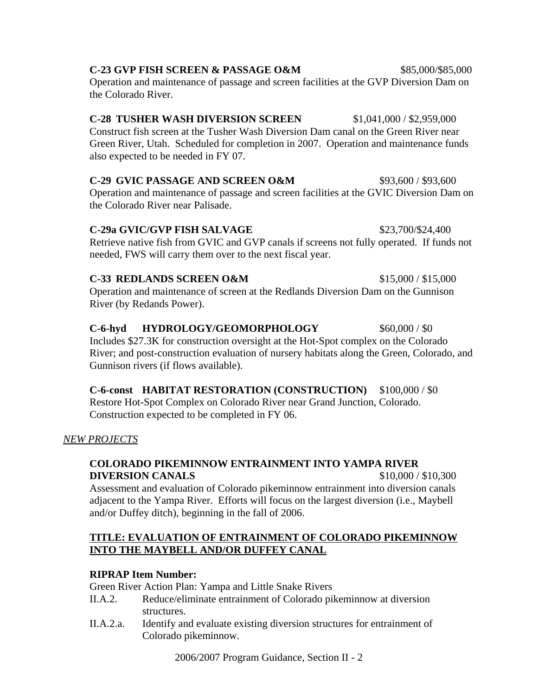# Operation and maintenance of passage and screen facilities at the GVIC Diversion Dam on the Colorado River near Palisade. **C-29a GVIC/GVP FISH SALVAGE**  $$23,700/$24,400$

Retrieve native fish from GVIC and GVP canals if screens not fully operated. If funds not needed, FWS will carry them over to the next fiscal year.

## **C-33 REDLANDS SCREEN O&M** \$15,000 / \$15,000 Operation and maintenance of screen at the Redlands Diversion Dam on the Gunnison River (by Redands Power).

# C-6-hyd HYDROLOGY/GEOMORPHOLOGY \$60,000 / \$0

Includes \$27.3K for construction oversight at the Hot-Spot complex on the Colorado River; and post-construction evaluation of nursery habitats along the Green, Colorado, and Gunnison rivers (if flows available).

## **C-6-const HABITAT RESTORATION (CONSTRUCTION)** \$100,000 / \$0 Restore Hot-Spot Complex on Colorado River near Grand Junction, Colorado. Construction expected to be completed in FY 06.

## *NEW PROJECTS*

## **COLORADO PIKEMINNOW ENTRAINMENT INTO YAMPA RIVER DIVERSION CANALS** \$10,000 / \$10,300

Assessment and evaluation of Colorado pikeminnow entrainment into diversion canals adjacent to the Yampa River. Efforts will focus on the largest diversion (i.e., Maybell and/or Duffey ditch), beginning in the fall of 2006.

# **TITLE: EVALUATION OF ENTRAINMENT OF COLORADO PIKEMINNOW INTO THE MAYBELL AND/OR DUFFEY CANAL**

## **RIPRAP Item Number:**

Green River Action Plan: Yampa and Little Snake Rivers

- II.A.2. Reduce/eliminate entrainment of Colorado pikeminnow at diversion structures.
- II.A.2.a. Identify and evaluate existing diversion structures for entrainment of Colorado pikeminnow.

2006/2007 Program Guidance, Section II - 2

# **C-23 GVP FISH SCREEN & PASSAGE O&M** \$85,000/\$85,000

also expected to be needed in FY 07.

Operation and maintenance of passage and screen facilities at the GVP Diversion Dam on the Colorado River.

Green River, Utah. Scheduled for completion in 2007. Operation and maintenance funds

**C-28 TUSHER WASH DIVERSION SCREEN** \$1,041,000 / \$2,959,000 Construct fish screen at the Tusher Wash Diversion Dam canal on the Green River near

**C-29 GVIC PASSAGE AND SCREEN O&M** \$93,600 / \$93,600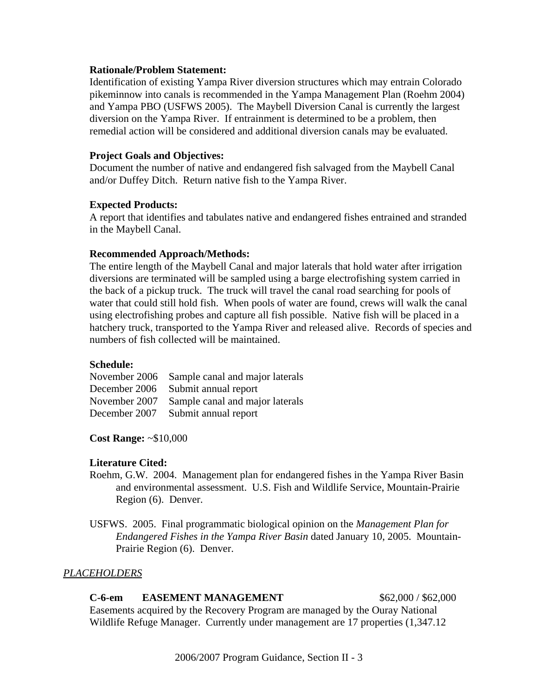#### **Rationale/Problem Statement:**

Identification of existing Yampa River diversion structures which may entrain Colorado pikeminnow into canals is recommended in the Yampa Management Plan (Roehm 2004) and Yampa PBO (USFWS 2005). The Maybell Diversion Canal is currently the largest diversion on the Yampa River. If entrainment is determined to be a problem, then remedial action will be considered and additional diversion canals may be evaluated.

#### **Project Goals and Objectives:**

Document the number of native and endangered fish salvaged from the Maybell Canal and/or Duffey Ditch. Return native fish to the Yampa River.

#### **Expected Products:**

A report that identifies and tabulates native and endangered fishes entrained and stranded in the Maybell Canal.

#### **Recommended Approach/Methods:**

The entire length of the Maybell Canal and major laterals that hold water after irrigation diversions are terminated will be sampled using a barge electrofishing system carried in the back of a pickup truck. The truck will travel the canal road searching for pools of water that could still hold fish. When pools of water are found, crews will walk the canal using electrofishing probes and capture all fish possible. Native fish will be placed in a hatchery truck, transported to the Yampa River and released alive. Records of species and numbers of fish collected will be maintained.

## **Schedule:**

November 2006 Sample canal and major laterals December 2006 Submit annual report November 2007 Sample canal and major laterals December 2007 Submit annual report

**Cost Range:** ~\$10,000

## **Literature Cited:**

- Roehm, G.W. 2004. Management plan for endangered fishes in the Yampa River Basin and environmental assessment. U.S. Fish and Wildlife Service, Mountain-Prairie Region (6). Denver.
- USFWS. 2005. Final programmatic biological opinion on the *Management Plan for Endangered Fishes in the Yampa River Basin* dated January 10, 2005. Mountain-Prairie Region (6). Denver.

## *PLACEHOLDERS*

**C-6-em EASEMENT MANAGEMENT** \$62,000 / \$62,000 Easements acquired by the Recovery Program are managed by the Ouray National Wildlife Refuge Manager. Currently under management are 17 properties (1,347.12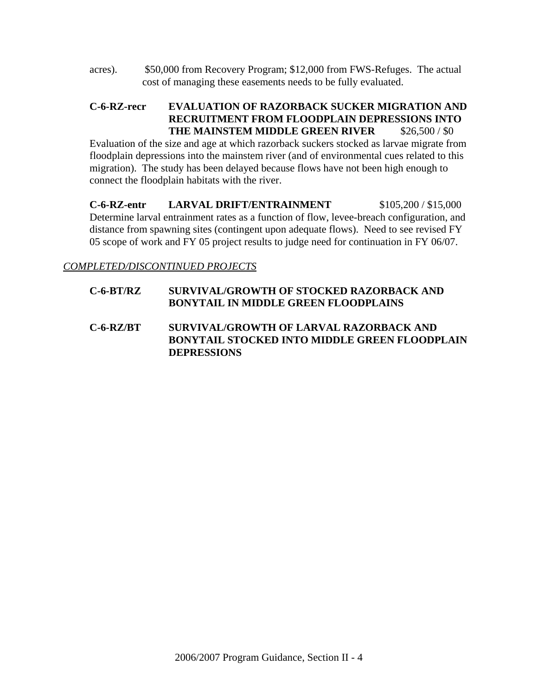acres). \$50,000 from Recovery Program; \$12,000 from FWS-Refuges. The actual cost of managing these easements needs to be fully evaluated.

## **C-6-RZ-recr EVALUATION OF RAZORBACK SUCKER MIGRATION AND RECRUITMENT FROM FLOODPLAIN DEPRESSIONS INTO THE MAINSTEM MIDDLE GREEN RIVER** \$26,500 / \$0

Evaluation of the size and age at which razorback suckers stocked as larvae migrate from floodplain depressions into the mainstem river (and of environmental cues related to this migration). The study has been delayed because flows have not been high enough to connect the floodplain habitats with the river.

**C-6-RZ-entr LARVAL DRIFT/ENTRAINMENT** \$105,200 / \$15,000 Determine larval entrainment rates as a function of flow, levee-breach configuration, and distance from spawning sites (contingent upon adequate flows). Need to see revised FY 05 scope of work and FY 05 project results to judge need for continuation in FY 06/07.

*COMPLETED/DISCONTINUED PROJECTS*

## **C-6-BT/RZ SURVIVAL/GROWTH OF STOCKED RAZORBACK AND BONYTAIL IN MIDDLE GREEN FLOODPLAINS**

**C-6-RZ/BT SURVIVAL/GROWTH OF LARVAL RAZORBACK AND BONYTAIL STOCKED INTO MIDDLE GREEN FLOODPLAIN DEPRESSIONS**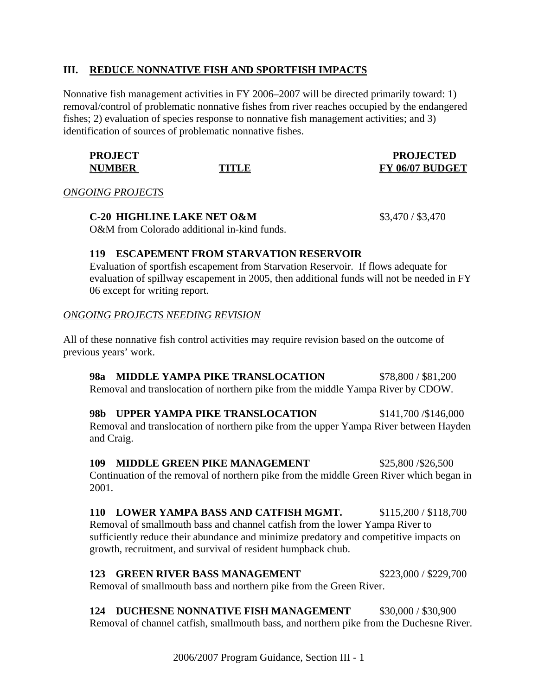## **III. REDUCE NONNATIVE FISH AND SPORTFISH IMPACTS**

Nonnative fish management activities in FY 2006–2007 will be directed primarily toward: 1) removal/control of problematic nonnative fishes from river reaches occupied by the endangered fishes; 2) evaluation of species response to nonnative fish management activities; and 3) identification of sources of problematic nonnative fishes.

| <b>PROJECT</b> |       | <b>PROJECTED</b> |
|----------------|-------|------------------|
| <b>NUMBER</b>  | TITLE | FY 06/07 BUDGET  |

*ONGOING PROJECTS*

**C-20 HIGHLINE LAKE NET O&M** \$3,470 / \$3,470 O&M from Colorado additional in-kind funds.

## **119 ESCAPEMENT FROM STARVATION RESERVOIR**

Evaluation of sportfish escapement from Starvation Reservoir. If flows adequate for evaluation of spillway escapement in 2005, then additional funds will not be needed in FY 06 except for writing report.

## *ONGOING PROJECTS NEEDING REVISION*

All of these nonnative fish control activities may require revision based on the outcome of previous years' work.

**98a MIDDLE YAMPA PIKE TRANSLOCATION** \$78,800 / \$81,200 Removal and translocation of northern pike from the middle Yampa River by CDOW.

**98b UPPER YAMPA PIKE TRANSLOCATION** \$141,700 /\$146,000 Removal and translocation of northern pike from the upper Yampa River between Hayden and Craig.

**109 MIDDLE GREEN PIKE MANAGEMENT** \$25,800 /\$26,500 Continuation of the removal of northern pike from the middle Green River which began in 2001.

**110 LOWER YAMPA BASS AND CATFISH MGMT.** \$115,200 / \$118,700 Removal of smallmouth bass and channel catfish from the lower Yampa River to sufficiently reduce their abundance and minimize predatory and competitive impacts on growth, recruitment, and survival of resident humpback chub.

**123 GREEN RIVER BASS MANAGEMENT** \$223,000 / \$229,700 Removal of smallmouth bass and northern pike from the Green River.

**124 DUCHESNE NONNATIVE FISH MANAGEMENT** \$30,000 / \$30,900 Removal of channel catfish, smallmouth bass, and northern pike from the Duchesne River.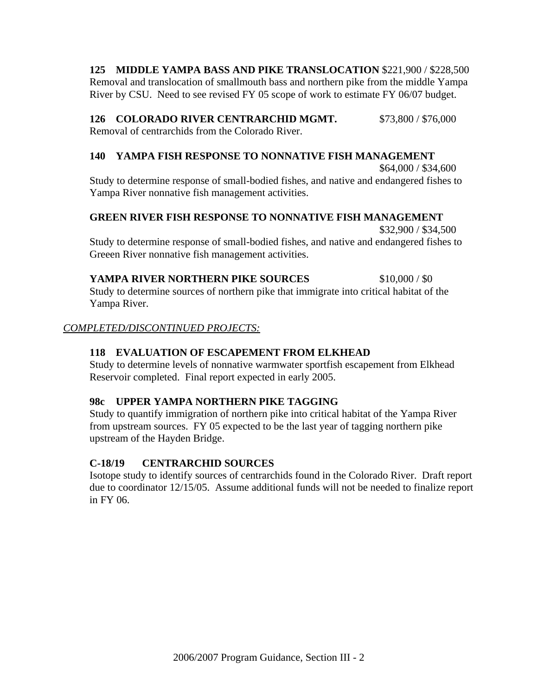**125 MIDDLE YAMPA BASS AND PIKE TRANSLOCATION** \$221,900 / \$228,500 Removal and translocation of smallmouth bass and northern pike from the middle Yampa River by CSU. Need to see revised FY 05 scope of work to estimate FY 06/07 budget.

**126 COLORADO RIVER CENTRARCHID MGMT.** \$73,800 / \$76,000

Removal of centrarchids from the Colorado River.

## **140 YAMPA FISH RESPONSE TO NONNATIVE FISH MANAGEMENT**

\$64,000 / \$34,600 Study to determine response of small-bodied fishes, and native and endangered fishes to Yampa River nonnative fish management activities.

## **GREEN RIVER FISH RESPONSE TO NONNATIVE FISH MANAGEMENT**

\$32,900 / \$34,500 Study to determine response of small-bodied fishes, and native and endangered fishes to Greeen River nonnative fish management activities.

## **YAMPA RIVER NORTHERN PIKE SOURCES** \$10,000/\$0

Study to determine sources of northern pike that immigrate into critical habitat of the Yampa River.

## *COMPLETED/DISCONTINUED PROJECTS:*

## **118 EVALUATION OF ESCAPEMENT FROM ELKHEAD**

Study to determine levels of nonnative warmwater sportfish escapement from Elkhead Reservoir completed. Final report expected in early 2005.

## **98c UPPER YAMPA NORTHERN PIKE TAGGING**

Study to quantify immigration of northern pike into critical habitat of the Yampa River from upstream sources. FY 05 expected to be the last year of tagging northern pike upstream of the Hayden Bridge.

## **C-18/19 CENTRARCHID SOURCES**

Isotope study to identify sources of centrarchids found in the Colorado River. Draft report due to coordinator 12/15/05. Assume additional funds will not be needed to finalize report in FY 06.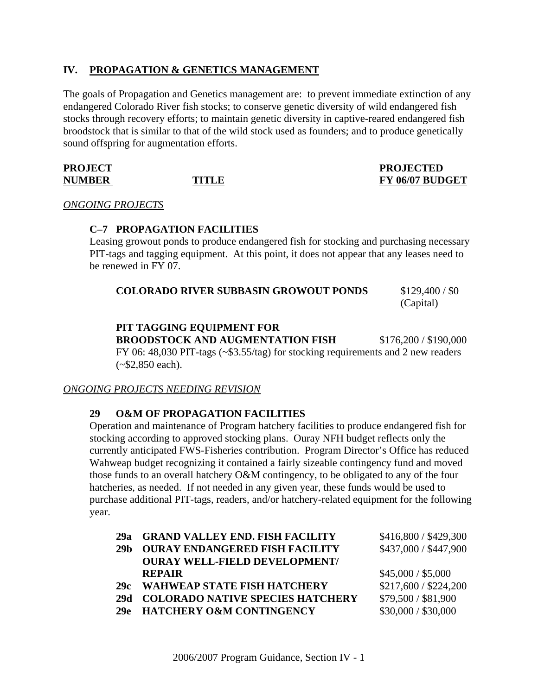## **IV. PROPAGATION & GENETICS MANAGEMENT**

The goals of Propagation and Genetics management are: to prevent immediate extinction of any endangered Colorado River fish stocks; to conserve genetic diversity of wild endangered fish stocks through recovery efforts; to maintain genetic diversity in captive-reared endangered fish broodstock that is similar to that of the wild stock used as founders; and to produce genetically sound offspring for augmentation efforts.

| <b>PROJECT</b> |             |
|----------------|-------------|
| <b>NUMBER</b>  | <b>TITL</b> |

## **PROJECTED E** FY 06/07 BUDGET

*ONGOING PROJECTS*

## **C–7 PROPAGATION FACILITIES**

Leasing growout ponds to produce endangered fish for stocking and purchasing necessary PIT-tags and tagging equipment. At this point, it does not appear that any leases need to be renewed in FY 07.

| <b>COLORADO RIVER SUBBASIN GROWOUT PONDS</b><br>\$129,400 / \$0 |
|-----------------------------------------------------------------|
|-----------------------------------------------------------------|

(Capital)

## **PIT TAGGING EQUIPMENT FOR**

**BROODSTOCK AND AUGMENTATION FISH** \$176,200 / \$190,000

FY 06: 48,030 PIT-tags (~\$3.55/tag) for stocking requirements and 2 new readers  $(-\$2,850 \text{ each}).$ 

## *ONGOING PROJECTS NEEDING REVISION*

## **29 O&M OF PROPAGATION FACILITIES**

Operation and maintenance of Program hatchery facilities to produce endangered fish for stocking according to approved stocking plans. Ouray NFH budget reflects only the currently anticipated FWS-Fisheries contribution. Program Director's Office has reduced Wahweap budget recognizing it contained a fairly sizeable contingency fund and moved those funds to an overall hatchery O&M contingency, to be obligated to any of the four hatcheries, as needed. If not needed in any given year, these funds would be used to purchase additional PIT-tags, readers, and/or hatchery-related equipment for the following year.

| 29a<br>29 <sub>b</sub> | <b>GRAND VALLEY END. FISH FACILITY</b><br><b>OURAY ENDANGERED FISH FACILITY</b> | \$416,800 / \$429,300<br>\$437,000 / \$447,900 |
|------------------------|---------------------------------------------------------------------------------|------------------------------------------------|
|                        | <b>OURAY WELL-FIELD DEVELOPMENT/</b>                                            |                                                |
|                        | <b>REPAIR</b>                                                                   | \$45,000 / \$5,000                             |
| 29c                    | <b>WAHWEAP STATE FISH HATCHERY</b>                                              | \$217,600 / \$224,200                          |
| 29d                    | <b>COLORADO NATIVE SPECIES HATCHERY</b>                                         | \$79,500 / \$81,900                            |
| 29e                    | <b>HATCHERY O&amp;M CONTINGENCY</b>                                             | \$30,000 / \$30,000                            |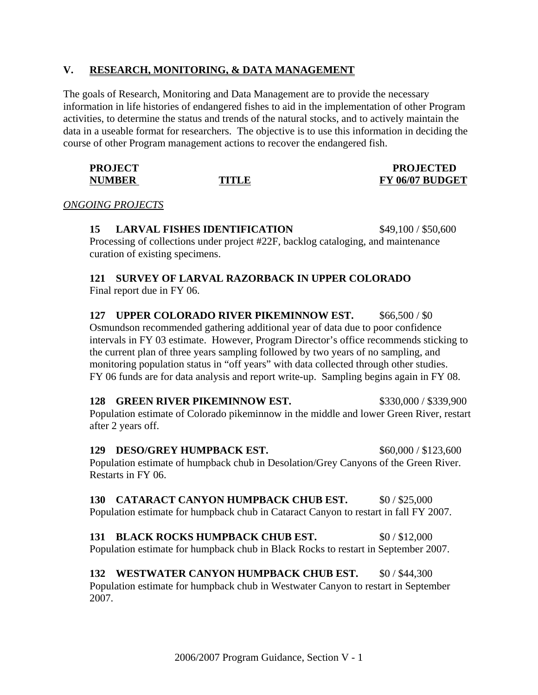## **V. RESEARCH, MONITORING, & DATA MANAGEMENT**

The goals of Research, Monitoring and Data Management are to provide the necessary information in life histories of endangered fishes to aid in the implementation of other Program activities, to determine the status and trends of the natural stocks, and to actively maintain the data in a useable format for researchers. The objective is to use this information in deciding the course of other Program management actions to recover the endangered fish.

| <b>PROJECT</b> |       | <b>PROJECTED</b> |
|----------------|-------|------------------|
| <b>NUMBER</b>  | TITLE | FY 06/07 BUDGET  |

*ONGOING PROJECTS*

**15 LARVAL FISHES IDENTIFICATION** \$49,100 / \$50,600 Processing of collections under project #22F, backlog cataloging, and maintenance curation of existing specimens.

## **121 SURVEY OF LARVAL RAZORBACK IN UPPER COLORADO** Final report due in FY 06.

**127 UPPER COLORADO RIVER PIKEMINNOW EST.** \$66,500 / \$0 Osmundson recommended gathering additional year of data due to poor confidence intervals in FY 03 estimate. However, Program Director's office recommends sticking to the current plan of three years sampling followed by two years of no sampling, and monitoring population status in "off years" with data collected through other studies. FY 06 funds are for data analysis and report write-up. Sampling begins again in FY 08.

**128 GREEN RIVER PIKEMINNOW EST.** \$330,000 / \$339,900 Population estimate of Colorado pikeminnow in the middle and lower Green River, restart after 2 years off.

**129 DESO/GREY HUMPBACK EST.** \$60,000 / \$123,600 Population estimate of humpback chub in Desolation/Grey Canyons of the Green River. Restarts in FY 06.

**130 CATARACT CANYON HUMPBACK CHUB EST.** \$0/\$25,000 Population estimate for humpback chub in Cataract Canyon to restart in fall FY 2007.

**131 BLACK ROCKS HUMPBACK CHUB EST.** \$0 / \$12,000 Population estimate for humpback chub in Black Rocks to restart in September 2007.

#### **132 WESTWATER CANYON HUMPBACK CHUB EST.** \$0 / \$44,300 Population estimate for humpback chub in Westwater Canyon to restart in September 2007.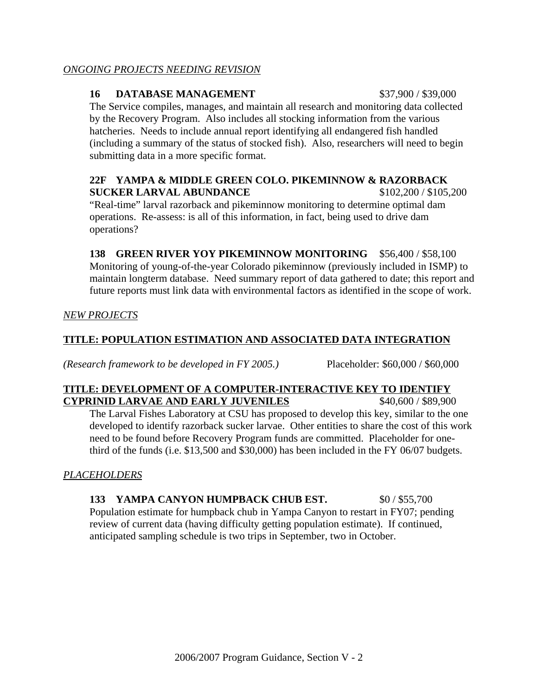## *ONGOING PROJECTS NEEDING REVISION*

## **16 DATABASE MANAGEMENT** \$37,900 / \$39,000

The Service compiles, manages, and maintain all research and monitoring data collected by the Recovery Program. Also includes all stocking information from the various hatcheries. Needs to include annual report identifying all endangered fish handled (including a summary of the status of stocked fish). Also, researchers will need to begin submitting data in a more specific format.

## **22F YAMPA & MIDDLE GREEN COLO. PIKEMINNOW & RAZORBACK SUCKER LARVAL ABUNDANCE** \$102,200 / \$105,200

"Real-time" larval razorback and pikeminnow monitoring to determine optimal dam operations. Re-assess: is all of this information, in fact, being used to drive dam operations?

**138 GREEN RIVER YOY PIKEMINNOW MONITORING** \$56,400 / \$58,100 Monitoring of young-of-the-year Colorado pikeminnow (previously included in ISMP) to maintain longterm database. Need summary report of data gathered to date; this report and future reports must link data with environmental factors as identified in the scope of work.

*NEW PROJECTS*

## **TITLE: POPULATION ESTIMATION AND ASSOCIATED DATA INTEGRATION**

*(Research framework to be developed in FY 2005.)* Placeholder: \$60,000 / \$60,000

## **TITLE: DEVELOPMENT OF A COMPUTER-INTERACTIVE KEY TO IDENTIFY CYPRINID LARVAE AND EARLY JUVENILES** \$40,600 / \$89,900

The Larval Fishes Laboratory at CSU has proposed to develop this key, similar to the one developed to identify razorback sucker larvae. Other entities to share the cost of this work need to be found before Recovery Program funds are committed. Placeholder for onethird of the funds (i.e. \$13,500 and \$30,000) has been included in the FY 06/07 budgets.

*PLACEHOLDERS*

# **133 YAMPA CANYON HUMPBACK CHUB EST.** \$0 / \$55,700

Population estimate for humpback chub in Yampa Canyon to restart in FY07; pending review of current data (having difficulty getting population estimate). If continued, anticipated sampling schedule is two trips in September, two in October.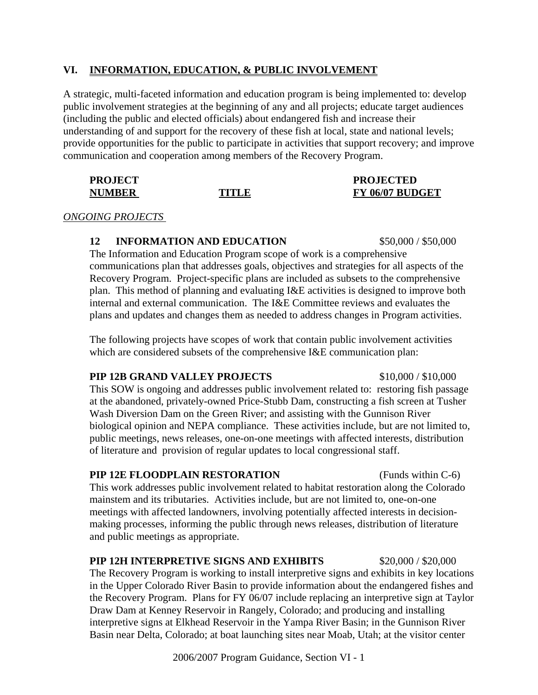## **VI. INFORMATION, EDUCATION, & PUBLIC INVOLVEMENT**

A strategic, multi-faceted information and education program is being implemented to: develop public involvement strategies at the beginning of any and all projects; educate target audiences (including the public and elected officials) about endangered fish and increase their understanding of and support for the recovery of these fish at local, state and national levels; provide opportunities for the public to participate in activities that support recovery; and improve communication and cooperation among members of the Recovery Program.

| <b>PROJECT</b> |       | <b>PROJECTED</b> |
|----------------|-------|------------------|
| <b>NUMBER</b>  | TITLE | FY 06/07 BUDGET  |

#### *ONGOING PROJECTS*

## **12 INFORMATION AND EDUCATION** \$50,000 / \$50,000

The Information and Education Program scope of work is a comprehensive communications plan that addresses goals, objectives and strategies for all aspects of the Recovery Program. Project-specific plans are included as subsets to the comprehensive plan. This method of planning and evaluating I&E activities is designed to improve both internal and external communication. The I&E Committee reviews and evaluates the plans and updates and changes them as needed to address changes in Program activities.

The following projects have scopes of work that contain public involvement activities which are considered subsets of the comprehensive I&E communication plan:

## **PIP 12B GRAND VALLEY PROJECTS** \$10,000 / \$10,000

This SOW is ongoing and addresses public involvement related to: restoring fish passage at the abandoned, privately-owned Price-Stubb Dam, constructing a fish screen at Tusher Wash Diversion Dam on the Green River; and assisting with the Gunnison River biological opinion and NEPA compliance. These activities include, but are not limited to, public meetings, news releases, one-on-one meetings with affected interests, distribution of literature and provision of regular updates to local congressional staff.

## **PIP 12E FLOODPLAIN RESTORATION** (Funds within C-6)

This work addresses public involvement related to habitat restoration along the Colorado mainstem and its tributaries. Activities include, but are not limited to, one-on-one meetings with affected landowners, involving potentially affected interests in decisionmaking processes, informing the public through news releases, distribution of literature and public meetings as appropriate.

## **PIP 12H INTERPRETIVE SIGNS AND EXHIBITS** \$20,000 / \$20,000

The Recovery Program is working to install interpretive signs and exhibits in key locations in the Upper Colorado River Basin to provide information about the endangered fishes and the Recovery Program. Plans for FY 06/07 include replacing an interpretive sign at Taylor Draw Dam at Kenney Reservoir in Rangely, Colorado; and producing and installing interpretive signs at Elkhead Reservoir in the Yampa River Basin; in the Gunnison River Basin near Delta, Colorado; at boat launching sites near Moab, Utah; at the visitor center

2006/2007 Program Guidance, Section VI - 1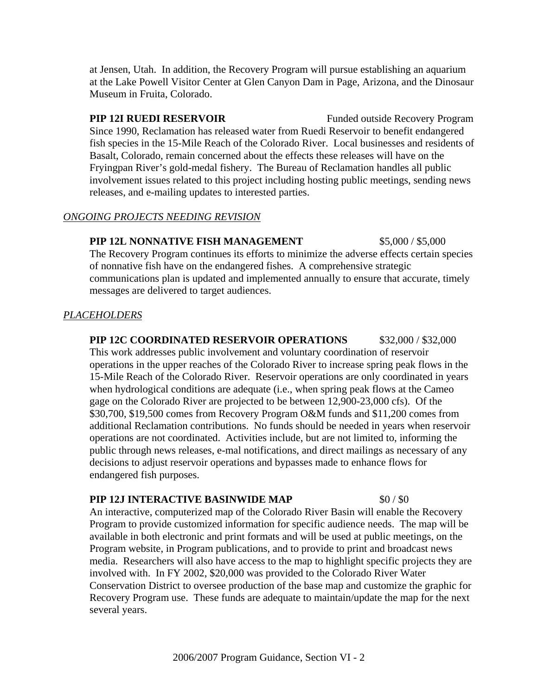at Jensen, Utah. In addition, the Recovery Program will pursue establishing an aquarium at the Lake Powell Visitor Center at Glen Canyon Dam in Page, Arizona, and the Dinosaur Museum in Fruita, Colorado.

**PIP 12I RUEDI RESERVOIR** Funded outside Recovery Program Since 1990, Reclamation has released water from Ruedi Reservoir to benefit endangered fish species in the 15-Mile Reach of the Colorado River. Local businesses and residents of Basalt, Colorado, remain concerned about the effects these releases will have on the Fryingpan River's gold-medal fishery. The Bureau of Reclamation handles all public involvement issues related to this project including hosting public meetings, sending news releases, and e-mailing updates to interested parties.

## *ONGOING PROJECTS NEEDING REVISION*

## **PIP 12L NONNATIVE FISH MANAGEMENT** \$5,000 / \$5,000

The Recovery Program continues its efforts to minimize the adverse effects certain species of nonnative fish have on the endangered fishes. A comprehensive strategic communications plan is updated and implemented annually to ensure that accurate, timely messages are delivered to target audiences.

## *PLACEHOLDERS*

**PIP 12C COORDINATED RESERVOIR OPERATIONS** \$32,000 / \$32,000 This work addresses public involvement and voluntary coordination of reservoir operations in the upper reaches of the Colorado River to increase spring peak flows in the 15-Mile Reach of the Colorado River. Reservoir operations are only coordinated in years when hydrological conditions are adequate (i.e., when spring peak flows at the Cameo gage on the Colorado River are projected to be between 12,900-23,000 cfs). Of the \$30,700, \$19,500 comes from Recovery Program O&M funds and \$11,200 comes from additional Reclamation contributions. No funds should be needed in years when reservoir operations are not coordinated. Activities include, but are not limited to, informing the public through news releases, e-mal notifications, and direct mailings as necessary of any decisions to adjust reservoir operations and bypasses made to enhance flows for endangered fish purposes.

## **PIP 12J INTERACTIVE BASINWIDE MAP** \$0 / \$0

An interactive, computerized map of the Colorado River Basin will enable the Recovery Program to provide customized information for specific audience needs. The map will be available in both electronic and print formats and will be used at public meetings, on the Program website, in Program publications, and to provide to print and broadcast news media. Researchers will also have access to the map to highlight specific projects they are involved with. In FY 2002, \$20,000 was provided to the Colorado River Water Conservation District to oversee production of the base map and customize the graphic for Recovery Program use. These funds are adequate to maintain/update the map for the next several years.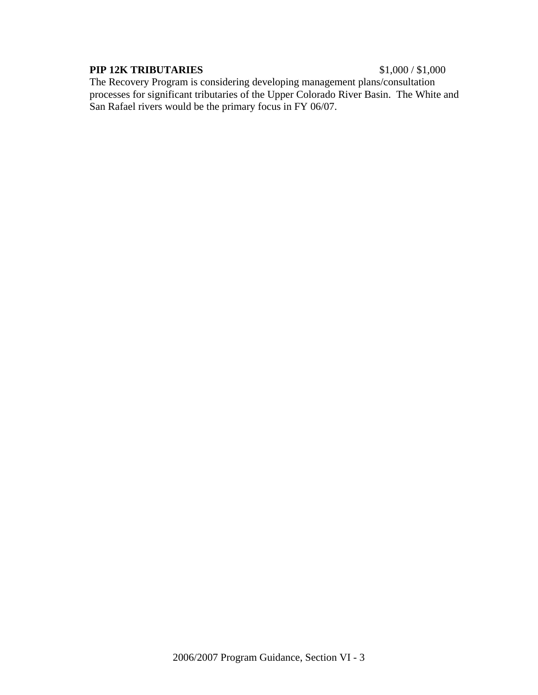## **PIP 12K TRIBUTARIES** \$1,000 / \$1,000

The Recovery Program is considering developing management plans/consultation processes for significant tributaries of the Upper Colorado River Basin. The White and San Rafael rivers would be the primary focus in FY 06/07.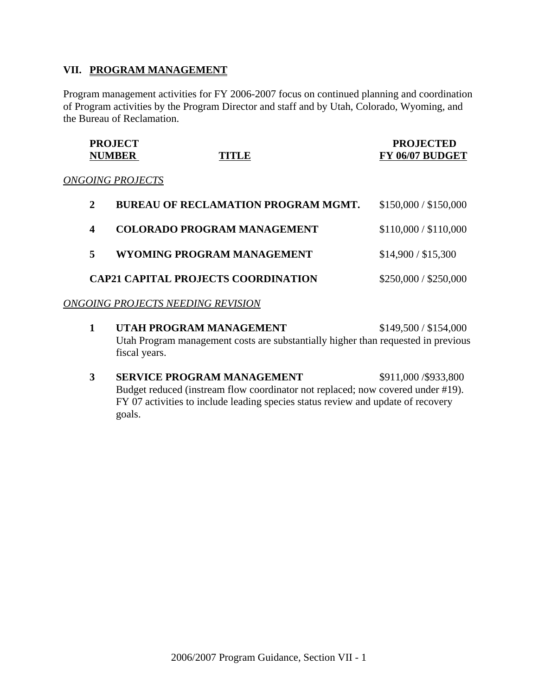## **VII. PROGRAM MANAGEMENT**

Program management activities for FY 2006-2007 focus on continued planning and coordination of Program activities by the Program Director and staff and by Utah, Colorado, Wyoming, and the Bureau of Reclamation.

| <b>PROJECT</b> |       | <b>PROJECTED</b> |
|----------------|-------|------------------|
| <b>NUMBER</b>  | TITLE | FY 06/07 BUDGET  |
|                |       |                  |

#### *ONGOING PROJECTS*

| <b>BUREAU OF RECLAMATION PROGRAM MGMT.</b> | \$150,000 / \$150,000 |
|--------------------------------------------|-----------------------|
| <b>COLORADO PROGRAM MANAGEMENT</b>         | \$110,000 / \$110,000 |
| WYOMING PROGRAM MANAGEMENT                 | \$14,900 / \$15,300   |
| <b>CAP21 CAPITAL PROJECTS COORDINATION</b> | \$250,000 / \$250,000 |

## *ONGOING PROJECTS NEEDING REVISION*

- **1 UTAH PROGRAM MANAGEMENT** \$149,500 / \$154,000 Utah Program management costs are substantially higher than requested in previous fiscal years.
- **3 SERVICE PROGRAM MANAGEMENT** \$911,000 /\$933,800 Budget reduced (instream flow coordinator not replaced; now covered under #19). FY 07 activities to include leading species status review and update of recovery goals.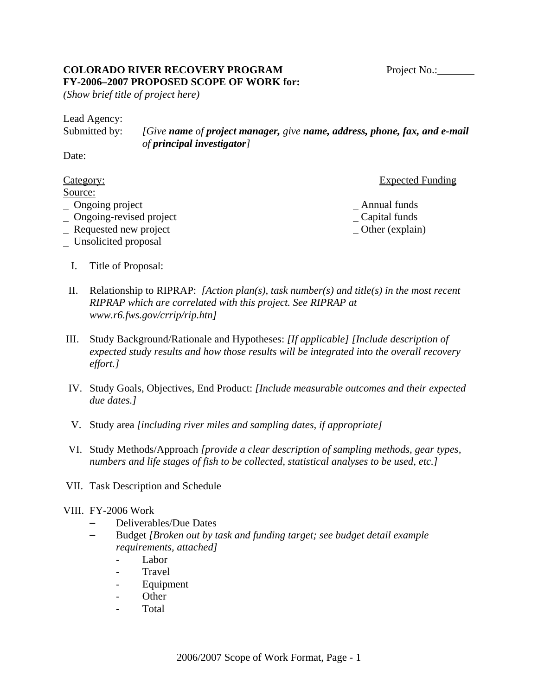## **COLORADO RIVER RECOVERY PROGRAM** Project No.: Project No.: **FY-2006–2007 PROPOSED SCOPE OF WORK for:**

*(Show brief title of project here)*

| Lead Agency:  |                                                                            |
|---------------|----------------------------------------------------------------------------|
| Submitted by: | [Give name of project manager, give name, address, phone, fax, and e-mail] |
|               | of principal investigator]                                                 |

Date:

## Category: Expected Funding

## Source:

- No. 2. Ongoing project **Annual funds**
- non-text project and the capital funds no capital funds and capital funds no capital funds no capital funds no capital funds no capital funds no capital funds no capital funds no capital funds no capital funds no capital f
- Requested new project Other (explain)
- Unsolicited proposal
	- I. Title of Proposal:
- II. Relationship to RIPRAP: *[Action plan(s), task number(s) and title(s) in the most recent RIPRAP which are correlated with this project. See RIPRAP at www.r6.fws.gov/crrip/rip.htn]*
- III. Study Background/Rationale and Hypotheses: *[If applicable] [Include description of expected study results and how those results will be integrated into the overall recovery effort.]*
- IV. Study Goals, Objectives, End Product: *[Include measurable outcomes and their expected due dates.]*
- V. Study area *[including river miles and sampling dates, if appropriate]*
- VI. Study Methods/Approach *[provide a clear description of sampling methods, gear types, numbers and life stages of fish to be collected, statistical analyses to be used, etc.]*
- VII. Task Description and Schedule

## VIII. FY-2006 Work

- $-$  Deliverables/Due Dates
- S Budget *[Broken out by task and funding target; see budget detail example requirements, attached]*
	- Labor
	- Travel
	- Equipment
	- Other
	- Total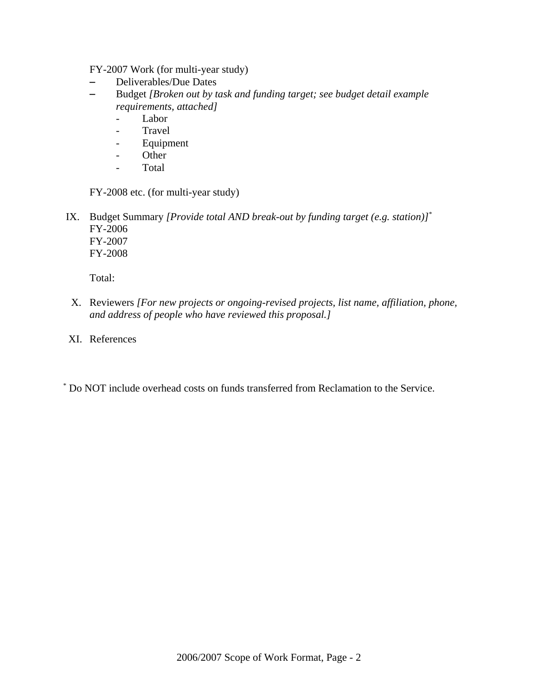FY-2007 Work (for multi-year study)

- Deliverables/Due Dates
- S Budget *[Broken out by task and funding target; see budget detail example requirements, attached]*
	- Labor
	- Travel
	- **Equipment**
	- Other
	- Total

FY-2008 etc. (for multi-year study)

 IX. Budget Summary *[Provide total AND break-out by funding target (e.g. station)]*\* FY-2006 FY-2007 FY-2008

Total:

- X. Reviewers *[For new projects or ongoing-revised projects, list name, affiliation, phone, and address of people who have reviewed this proposal.]*
- XI. References
- \* Do NOT include overhead costs on funds transferred from Reclamation to the Service.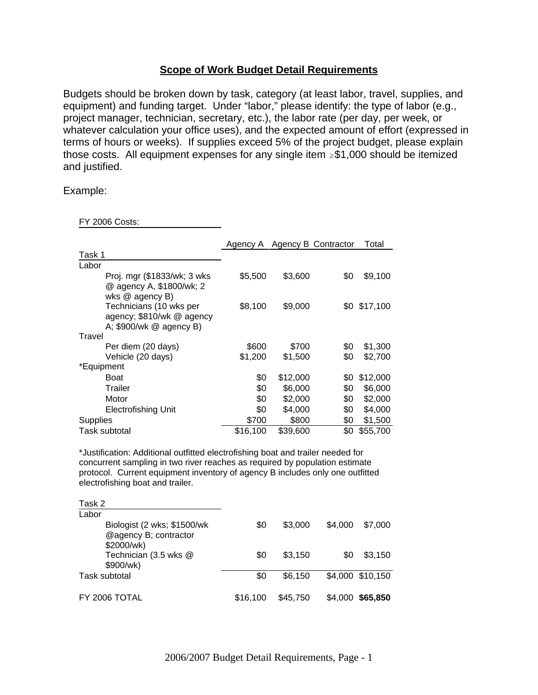## **Scope of Work Budget Detail Requirements**

Budgets should be broken down by task, category (at least labor, travel, supplies, and equipment) and funding target. Under "labor," please identify: the type of labor (e.g., project manager, technician, secretary, etc.), the labor rate (per day, per week, or whatever calculation your office uses), and the expected amount of effort (expressed in terms of hours or weeks). If supplies exceed 5% of the project budget, please explain those costs. All equipment expenses for any single item  $\geq$ \$1,000 should be itemized and justified.

Example:

FY 2006 Costs:

|                                                                                 |          |          | Agency A Agency B Contractor | Total    |
|---------------------------------------------------------------------------------|----------|----------|------------------------------|----------|
| Task 1                                                                          |          |          |                              |          |
| Labor                                                                           |          |          |                              |          |
| Proj. mgr (\$1833/wk; 3 wks<br>@ agency A, \$1800/wk; 2<br>wks @ agency B)      | \$5,500  | \$3,600  | \$0                          | \$9,100  |
| Technicians (10 wks per<br>agency; \$810/wk @ agency<br>A; \$900/wk @ agency B) | \$8,100  | \$9,000  | \$0                          | \$17,100 |
| Travel                                                                          |          |          |                              |          |
| Per diem (20 days)                                                              | \$600    | \$700    | \$0                          | \$1,300  |
| Vehicle (20 days)                                                               | \$1,200  | \$1,500  | \$0                          | \$2,700  |
| *Equipment                                                                      |          |          |                              |          |
| <b>Boat</b>                                                                     | \$0      | \$12,000 | \$0                          | \$12,000 |
| Trailer                                                                         | \$0      | \$6,000  | \$0                          | \$6,000  |
| Motor                                                                           | \$0      | \$2,000  | \$0                          | \$2,000  |
| <b>Electrofishing Unit</b>                                                      | \$0      | \$4,000  | \$0                          | \$4,000  |
| <b>Supplies</b>                                                                 | \$700    | \$800    | \$0                          | \$1,500  |
| Task subtotal                                                                   | \$16,100 | \$39,600 | \$0                          | \$55,700 |

\*Justification: Additional outfitted electrofishing boat and trailer needed for concurrent sampling in two river reaches as required by population estimate protocol. Current equipment inventory of agency B includes only one outfitted electrofishing boat and trailer.

| Task 2                                                             |          |          |         |                  |
|--------------------------------------------------------------------|----------|----------|---------|------------------|
| Labor                                                              |          |          |         |                  |
| Biologist (2 wks; \$1500/wk<br>@agency B; contractor<br>\$2000/wk) | \$0      | \$3,000  | \$4.000 | \$7,000          |
| Technician (3.5 wks @<br>\$900/wk)                                 | \$0      | \$3.150  | \$0     | \$3,150          |
| Task subtotal                                                      | \$0      | \$6,150  |         | \$4,000 \$10,150 |
| FY 2006 TOTAL                                                      | \$16,100 | \$45,750 | \$4.000 | \$65,850         |